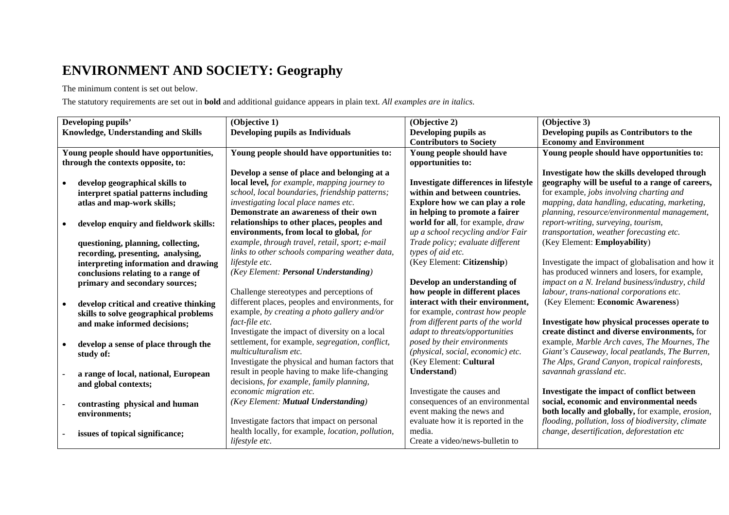## **ENVIRONMENT AND SOCIETY: Geography**

The minimum content is set out below.

The statutory requirements are set out in **bold** and additional guidance appears in plain text. *All examples are in italics*.

|                                            |                                        | (Objective 1)                                                     |                                             |                                                    |
|--------------------------------------------|----------------------------------------|-------------------------------------------------------------------|---------------------------------------------|----------------------------------------------------|
| Developing pupils'                         |                                        |                                                                   | (Objective 2)                               | (Objective 3)                                      |
| <b>Knowledge, Understanding and Skills</b> |                                        | Developing pupils as Individuals                                  | Developing pupils as                        | Developing pupils as Contributors to the           |
|                                            |                                        |                                                                   | <b>Contributors to Society</b>              | <b>Economy and Environment</b>                     |
| Young people should have opportunities,    |                                        | Young people should have opportunities to:                        | Young people should have                    | Young people should have opportunities to:         |
| through the contexts opposite, to:         |                                        |                                                                   | opportunities to:                           |                                                    |
|                                            |                                        | Develop a sense of place and belonging at a                       |                                             | Investigate how the skills developed through       |
|                                            | develop geographical skills to         | local level, for example, mapping journey to                      | <b>Investigate differences in lifestyle</b> | geography will be useful to a range of careers,    |
|                                            | interpret spatial patterns including   | school, local boundaries, friendship patterns;                    | within and between countries.               | for example, jobs involving charting and           |
|                                            | atlas and map-work skills;             | investigating local place names etc.                              | Explore how we can play a role              | mapping, data handling, educating, marketing,      |
|                                            |                                        | Demonstrate an awareness of their own                             | in helping to promote a fairer              | planning, resource/environmental management,       |
|                                            | develop enquiry and fieldwork skills:  | relationships to other places, peoples and                        | world for all, for example, draw            | report-writing, surveying, tourism,                |
|                                            |                                        | environments, from local to global, for                           | up a school recycling and/or Fair           | transportation, weather forecasting etc.           |
|                                            | questioning, planning, collecting,     | example, through travel, retail, sport; e-mail                    | Trade policy; evaluate different            | (Key Element: Employability)                       |
|                                            | recording, presenting, analysing,      | links to other schools comparing weather data,                    | types of aid etc.                           |                                                    |
|                                            | interpreting information and drawing   | lifestyle etc.                                                    | (Key Element: Citizenship)                  | Investigate the impact of globalisation and how it |
|                                            | conclusions relating to a range of     | (Key Element: Personal Understanding)                             |                                             | has produced winners and losers, for example,      |
|                                            |                                        |                                                                   | Develop an understanding of                 | impact on a N. Ireland business/industry, child    |
|                                            | primary and secondary sources;         | Challenge stereotypes and perceptions of                          | how people in different places              | labour, trans-national corporations etc.           |
|                                            |                                        | different places, peoples and environments, for                   | interact with their environment,            | (Key Element: Economic Awareness)                  |
|                                            | develop critical and creative thinking |                                                                   |                                             |                                                    |
|                                            | skills to solve geographical problems  | example, by creating a photo gallery and/or                       | for example, <i>contrast how people</i>     |                                                    |
|                                            | and make informed decisions;           | fact-file etc.                                                    | from different parts of the world           | Investigate how physical processes operate to      |
|                                            |                                        | Investigate the impact of diversity on a local                    | adapt to threats/opportunities              | create distinct and diverse environments, for      |
|                                            | develop a sense of place through the   | settlement, for example, segregation, conflict,                   | posed by their environments                 | example, Marble Arch caves, The Mournes, The       |
|                                            | study of:                              | <i>multiculturalism etc.</i>                                      | (physical, social, economic) etc.           | Giant's Causeway, local peatlands, The Burren,     |
|                                            |                                        | Investigate the physical and human factors that                   | (Key Element: Cultural                      | The Alps, Grand Canyon, tropical rainforests,      |
|                                            | a range of local, national, European   | result in people having to make life-changing                     | Understand                                  | savannah grassland etc.                            |
|                                            | and global contexts;                   | decisions, for example, family planning,                          |                                             |                                                    |
|                                            |                                        | economic migration etc.                                           | Investigate the causes and                  | Investigate the impact of conflict between         |
|                                            | contrasting physical and human         | (Key Element: Mutual Understanding)                               | consequences of an environmental            | social, economic and environmental needs           |
|                                            | environments;                          |                                                                   | event making the news and                   | both locally and globally, for example, erosion,   |
|                                            |                                        | Investigate factors that impact on personal                       | evaluate how it is reported in the          | flooding, pollution, loss of biodiversity, climate |
|                                            | issues of topical significance;        | health locally, for example, <i>location</i> , <i>pollution</i> , | media.                                      | change, desertification, deforestation etc         |
|                                            |                                        | lifestyle etc.                                                    | Create a video/news-bulletin to             |                                                    |
|                                            |                                        |                                                                   |                                             |                                                    |